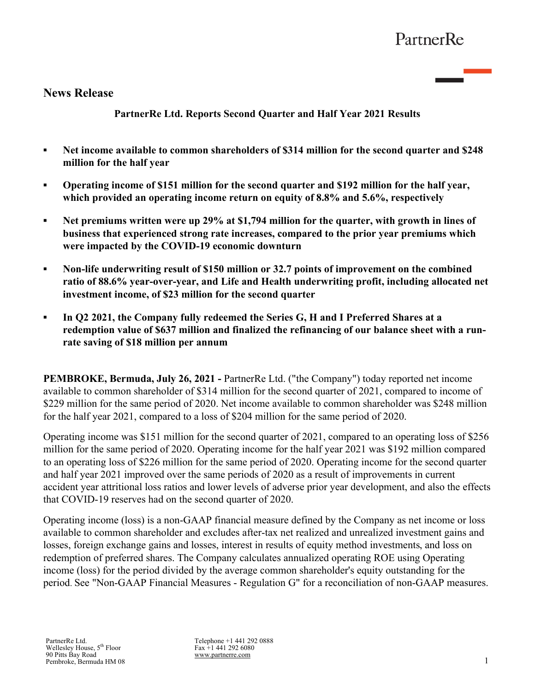# **News Release**

**PartnerRe Ltd. Reports Second Quarter and Half Year 2021 Results**

- **▪ Net income available to common shareholders of \$314 million for the second quarter and \$248 million for the half year**
- **Operating income of \$151 million for the second quarter and \$192 million for the half year, which provided an operating income return on equity of 8.8% and 5.6%, respectively**
- **Net premiums written were up 29% at \$1,794 million for the quarter, with growth in lines of business that experienced strong rate increases, compared to the prior year premiums which were impacted by the COVID-19 economic downturn**
- **Non-life underwriting result of \$150 million or 32.7 points of improvement on the combined ratio of 88.6% year-over-year, and Life and Health underwriting profit, including allocated net investment income, of \$23 million for the second quarter**
- *▪* **In Q2 2021, the Company fully redeemed the Series G, H and I Preferred Shares at a redemption value of \$637 million and finalized the refinancing of our balance sheet with a runrate saving of \$18 million per annum**

**PEMBROKE, Bermuda, July 26, 2021 -** PartnerRe Ltd. ("the Company") today reported net income available to common shareholder of \$314 million for the second quarter of 2021, compared to income of \$229 million for the same period of 2020. Net income available to common shareholder was \$248 million for the half year 2021, compared to a loss of \$204 million for the same period of 2020.

Operating income was \$151 million for the second quarter of 2021, compared to an operating loss of \$256 million for the same period of 2020. Operating income for the half year 2021 was \$192 million compared to an operating loss of \$226 million for the same period of 2020. Operating income for the second quarter and half year 2021 improved over the same periods of 2020 as a result of improvements in current accident year attritional loss ratios and lower levels of adverse prior year development, and also the effects that COVID-19 reserves had on the second quarter of 2020.

Operating income (loss) is a non-GAAP financial measure defined by the Company as net income or loss available to common shareholder and excludes after-tax net realized and unrealized investment gains and losses, foreign exchange gains and losses, interest in results of equity method investments, and loss on redemption of preferred shares. The Company calculates annualized operating ROE using Operating income (loss) for the period divided by the average common shareholder's equity outstanding for the period. See "Non-GAAP Financial Measures - Regulation G" for a reconciliation of non-GAAP measures.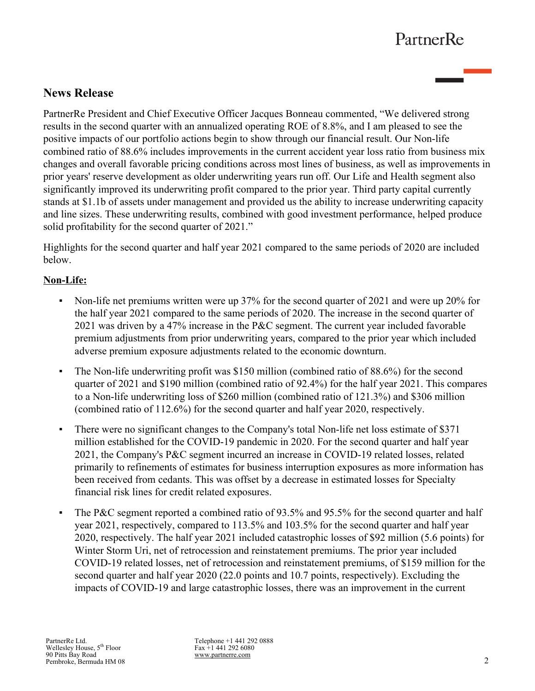# **News Release**

PartnerRe President and Chief Executive Officer Jacques Bonneau commented, "We delivered strong results in the second quarter with an annualized operating ROE of 8.8%, and I am pleased to see the positive impacts of our portfolio actions begin to show through our financial result. Our Non-life combined ratio of 88.6% includes improvements in the current accident year loss ratio from business mix changes and overall favorable pricing conditions across most lines of business, as well as improvements in prior years' reserve development as older underwriting years run off. Our Life and Health segment also significantly improved its underwriting profit compared to the prior year. Third party capital currently stands at \$1.1b of assets under management and provided us the ability to increase underwriting capacity and line sizes. These underwriting results, combined with good investment performance, helped produce solid profitability for the second quarter of 2021."

Highlights for the second quarter and half year 2021 compared to the same periods of 2020 are included below.

## **Non-Life:**

- Non-life net premiums written were up 37% for the second quarter of 2021 and were up 20% for the half year 2021 compared to the same periods of 2020. The increase in the second quarter of 2021 was driven by a 47% increase in the P&C segment. The current year included favorable premium adjustments from prior underwriting years, compared to the prior year which included adverse premium exposure adjustments related to the economic downturn.
- The Non-life underwriting profit was \$150 million (combined ratio of 88.6%) for the second quarter of 2021 and \$190 million (combined ratio of 92.4%) for the half year 2021. This compares to a Non-life underwriting loss of \$260 million (combined ratio of 121.3%) and \$306 million (combined ratio of 112.6%) for the second quarter and half year 2020, respectively.
- There were no significant changes to the Company's total Non-life net loss estimate of \$371 million established for the COVID-19 pandemic in 2020. For the second quarter and half year 2021, the Company's P&C segment incurred an increase in COVID-19 related losses, related primarily to refinements of estimates for business interruption exposures as more information has been received from cedants. This was offset by a decrease in estimated losses for Specialty financial risk lines for credit related exposures.
- The P&C segment reported a combined ratio of 93.5% and 95.5% for the second quarter and half year 2021, respectively, compared to 113.5% and 103.5% for the second quarter and half year 2020, respectively. The half year 2021 included catastrophic losses of \$92 million (5.6 points) for Winter Storm Uri, net of retrocession and reinstatement premiums. The prior year included COVID-19 related losses, net of retrocession and reinstatement premiums, of \$159 million for the second quarter and half year 2020 (22.0 points and 10.7 points, respectively). Excluding the impacts of COVID-19 and large catastrophic losses, there was an improvement in the current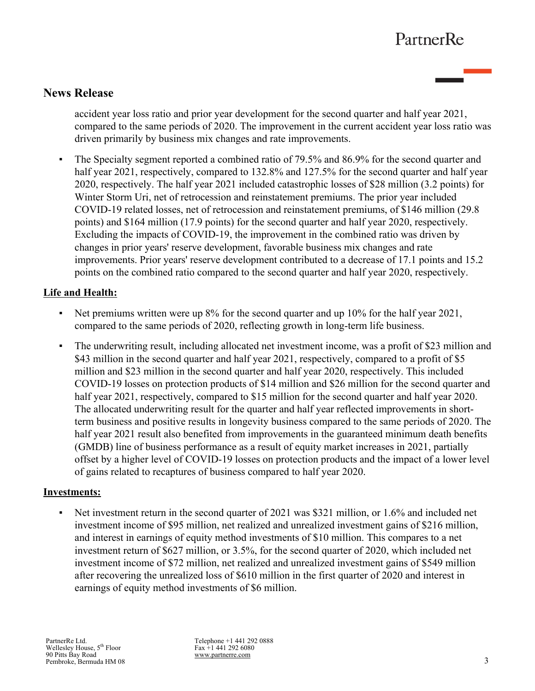# **News Release**

accident year loss ratio and prior year development for the second quarter and half year 2021, compared to the same periods of 2020. The improvement in the current accident year loss ratio was driven primarily by business mix changes and rate improvements.

The Specialty segment reported a combined ratio of 79.5% and 86.9% for the second quarter and half year 2021, respectively, compared to 132.8% and 127.5% for the second quarter and half year 2020, respectively. The half year 2021 included catastrophic losses of \$28 million (3.2 points) for Winter Storm Uri, net of retrocession and reinstatement premiums. The prior year included COVID-19 related losses, net of retrocession and reinstatement premiums, of \$146 million (29.8 points) and \$164 million (17.9 points) for the second quarter and half year 2020, respectively. Excluding the impacts of COVID-19, the improvement in the combined ratio was driven by changes in prior years' reserve development, favorable business mix changes and rate improvements. Prior years' reserve development contributed to a decrease of 17.1 points and 15.2 points on the combined ratio compared to the second quarter and half year 2020, respectively.

## **Life and Health:**

- Net premiums written were up 8% for the second quarter and up 10% for the half year 2021. compared to the same periods of 2020, reflecting growth in long-term life business.
- The underwriting result, including allocated net investment income, was a profit of \$23 million and \$43 million in the second quarter and half year 2021, respectively, compared to a profit of \$5 million and \$23 million in the second quarter and half year 2020, respectively. This included COVID-19 losses on protection products of \$14 million and \$26 million for the second quarter and half year 2021, respectively, compared to \$15 million for the second quarter and half year 2020. The allocated underwriting result for the quarter and half year reflected improvements in shortterm business and positive results in longevity business compared to the same periods of 2020. The half year 2021 result also benefited from improvements in the guaranteed minimum death benefits (GMDB) line of business performance as a result of equity market increases in 2021, partially offset by a higher level of COVID-19 losses on protection products and the impact of a lower level of gains related to recaptures of business compared to half year 2020.

## **Investments:**

• Net investment return in the second quarter of 2021 was \$321 million, or 1.6% and included net investment income of \$95 million, net realized and unrealized investment gains of \$216 million, and interest in earnings of equity method investments of \$10 million. This compares to a net investment return of \$627 million, or 3.5%, for the second quarter of 2020, which included net investment income of \$72 million, net realized and unrealized investment gains of \$549 million after recovering the unrealized loss of \$610 million in the first quarter of 2020 and interest in earnings of equity method investments of \$6 million.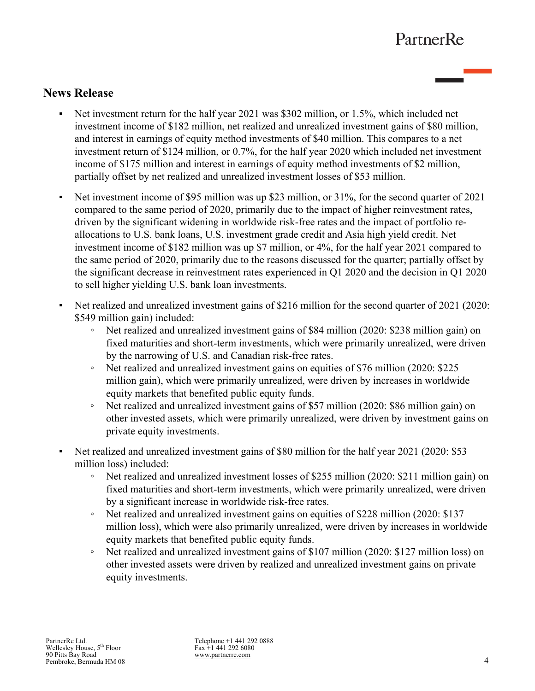# **News Release**

- Net investment return for the half year 2021 was \$302 million, or 1.5%, which included net investment income of \$182 million, net realized and unrealized investment gains of \$80 million, and interest in earnings of equity method investments of \$40 million. This compares to a net investment return of \$124 million, or 0.7%, for the half year 2020 which included net investment income of \$175 million and interest in earnings of equity method investments of \$2 million, partially offset by net realized and unrealized investment losses of \$53 million.
- Net investment income of \$95 million was up \$23 million, or 31%, for the second quarter of 2021 compared to the same period of 2020, primarily due to the impact of higher reinvestment rates, driven by the significant widening in worldwide risk-free rates and the impact of portfolio reallocations to U.S. bank loans, U.S. investment grade credit and Asia high yield credit. Net investment income of \$182 million was up \$7 million, or 4%, for the half year 2021 compared to the same period of 2020, primarily due to the reasons discussed for the quarter; partially offset by the significant decrease in reinvestment rates experienced in Q1 2020 and the decision in Q1 2020 to sell higher yielding U.S. bank loan investments.
- Net realized and unrealized investment gains of \$216 million for the second quarter of 2021 (2020: \$549 million gain) included:
	- Net realized and unrealized investment gains of \$84 million (2020: \$238 million gain) on fixed maturities and short-term investments, which were primarily unrealized, were driven by the narrowing of U.S. and Canadian risk-free rates.
	- Net realized and unrealized investment gains on equities of \$76 million (2020: \$225 million gain), which were primarily unrealized, were driven by increases in worldwide equity markets that benefited public equity funds.
	- Net realized and unrealized investment gains of \$57 million (2020: \$86 million gain) on other invested assets, which were primarily unrealized, were driven by investment gains on private equity investments.
- Net realized and unrealized investment gains of \$80 million for the half year 2021 (2020: \$53) million loss) included:
	- Net realized and unrealized investment losses of \$255 million (2020: \$211 million gain) on fixed maturities and short-term investments, which were primarily unrealized, were driven by a significant increase in worldwide risk-free rates.
	- Net realized and unrealized investment gains on equities of \$228 million (2020: \$137 million loss), which were also primarily unrealized, were driven by increases in worldwide equity markets that benefited public equity funds.
	- Net realized and unrealized investment gains of \$107 million (2020: \$127 million loss) on other invested assets were driven by realized and unrealized investment gains on private equity investments.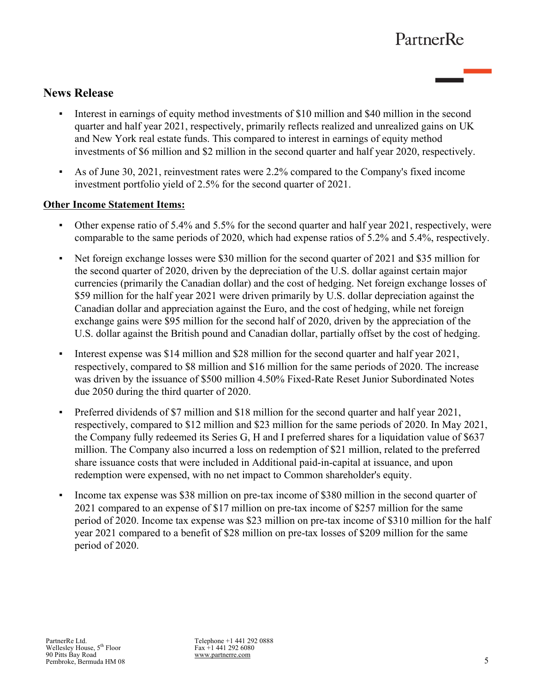# **News Release**

- Interest in earnings of equity method investments of \$10 million and \$40 million in the second quarter and half year 2021, respectively, primarily reflects realized and unrealized gains on UK and New York real estate funds. This compared to interest in earnings of equity method investments of \$6 million and \$2 million in the second quarter and half year 2020, respectively.
- As of June 30, 2021, reinvestment rates were 2.2% compared to the Company's fixed income investment portfolio yield of 2.5% for the second quarter of 2021.

## **Other Income Statement Items:**

- Other expense ratio of 5.4% and 5.5% for the second quarter and half year 2021, respectively, were comparable to the same periods of 2020, which had expense ratios of 5.2% and 5.4%, respectively.
- Net foreign exchange losses were \$30 million for the second quarter of 2021 and \$35 million for the second quarter of 2020, driven by the depreciation of the U.S. dollar against certain major currencies (primarily the Canadian dollar) and the cost of hedging. Net foreign exchange losses of \$59 million for the half year 2021 were driven primarily by U.S. dollar depreciation against the Canadian dollar and appreciation against the Euro, and the cost of hedging, while net foreign exchange gains were \$95 million for the second half of 2020, driven by the appreciation of the U.S. dollar against the British pound and Canadian dollar, partially offset by the cost of hedging.
- Interest expense was \$14 million and \$28 million for the second quarter and half year 2021, respectively, compared to \$8 million and \$16 million for the same periods of 2020. The increase was driven by the issuance of \$500 million 4.50% Fixed-Rate Reset Junior Subordinated Notes due 2050 during the third quarter of 2020.
- Preferred dividends of \$7 million and \$18 million for the second quarter and half year 2021, respectively, compared to \$12 million and \$23 million for the same periods of 2020. In May 2021, the Company fully redeemed its Series G, H and I preferred shares for a liquidation value of \$637 million. The Company also incurred a loss on redemption of \$21 million, related to the preferred share issuance costs that were included in Additional paid-in-capital at issuance, and upon redemption were expensed, with no net impact to Common shareholder's equity.
- Income tax expense was \$38 million on pre-tax income of \$380 million in the second quarter of 2021 compared to an expense of \$17 million on pre-tax income of \$257 million for the same period of 2020. Income tax expense was \$23 million on pre-tax income of \$310 million for the half year 2021 compared to a benefit of \$28 million on pre-tax losses of \$209 million for the same period of 2020.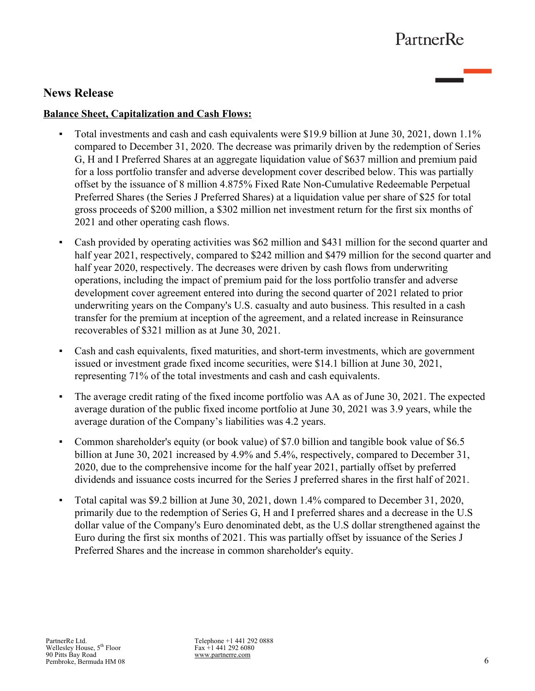# **News Release**

## **Balance Sheet, Capitalization and Cash Flows:**

- Total investments and cash and cash equivalents were \$19.9 billion at June 30, 2021, down 1.1% compared to December 31, 2020. The decrease was primarily driven by the redemption of Series G, H and I Preferred Shares at an aggregate liquidation value of \$637 million and premium paid for a loss portfolio transfer and adverse development cover described below. This was partially offset by the issuance of 8 million 4.875% Fixed Rate Non-Cumulative Redeemable Perpetual Preferred Shares (the Series J Preferred Shares) at a liquidation value per share of \$25 for total gross proceeds of \$200 million, a \$302 million net investment return for the first six months of 2021 and other operating cash flows.
- Cash provided by operating activities was \$62 million and \$431 million for the second quarter and half year 2021, respectively, compared to \$242 million and \$479 million for the second quarter and half year 2020, respectively. The decreases were driven by cash flows from underwriting operations, including the impact of premium paid for the loss portfolio transfer and adverse development cover agreement entered into during the second quarter of 2021 related to prior underwriting years on the Company's U.S. casualty and auto business. This resulted in a cash transfer for the premium at inception of the agreement, and a related increase in Reinsurance recoverables of \$321 million as at June 30, 2021.
- Cash and cash equivalents, fixed maturities, and short-term investments, which are government issued or investment grade fixed income securities, were \$14.1 billion at June 30, 2021, representing 71% of the total investments and cash and cash equivalents.
- The average credit rating of the fixed income portfolio was AA as of June 30, 2021. The expected average duration of the public fixed income portfolio at June 30, 2021 was 3.9 years, while the average duration of the Company's liabilities was 4.2 years.
- Common shareholder's equity (or book value) of \$7.0 billion and tangible book value of \$6.5 billion at June 30, 2021 increased by 4.9% and 5.4%, respectively, compared to December 31, 2020, due to the comprehensive income for the half year 2021, partially offset by preferred dividends and issuance costs incurred for the Series J preferred shares in the first half of 2021.
- Total capital was \$9.2 billion at June 30, 2021, down 1.4% compared to December 31, 2020, primarily due to the redemption of Series G, H and I preferred shares and a decrease in the U.S dollar value of the Company's Euro denominated debt, as the U.S dollar strengthened against the Euro during the first six months of 2021. This was partially offset by issuance of the Series J Preferred Shares and the increase in common shareholder's equity.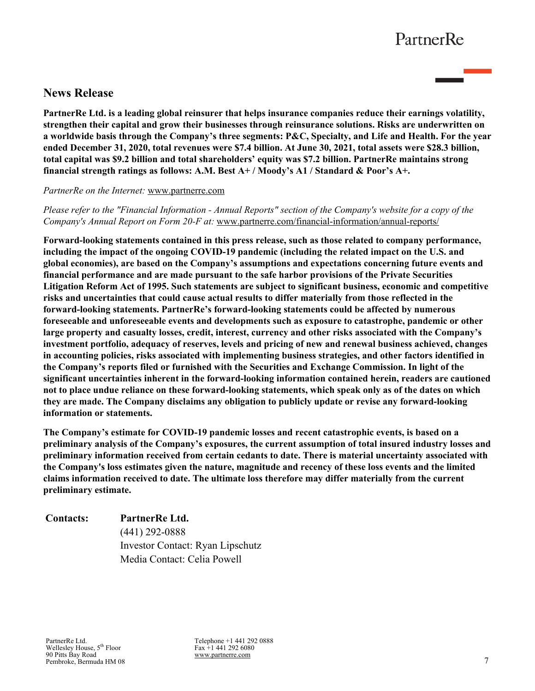# **News Release**

**PartnerRe Ltd. is a leading global reinsurer that helps insurance companies reduce their earnings volatility, strengthen their capital and grow their businesses through reinsurance solutions. Risks are underwritten on a worldwide basis through the Company's three segments: P&C, Specialty, and Life and Health. For the year ended December 31, 2020, total revenues were \$7.4 billion. At June 30, 2021, total assets were \$28.3 billion, total capital was \$9.2 billion and total shareholders' equity was \$7.2 billion. PartnerRe maintains strong financial strength ratings as follows: A.M. Best A+ / Moody's A1 / Standard & Poor's A+.** 

### *PartnerRe on the Internet:* www.partnerre.com

*Please refer to the "Financial Information - Annual Reports" section of the Company's website for a copy of the Company's Annual Report on Form 20-F at:* www.partnerre.com/financial-information/annual-reports/

**Forward-looking statements contained in this press release, such as those related to company performance, including the impact of the ongoing COVID-19 pandemic (including the related impact on the U.S. and global economies), are based on the Company's assumptions and expectations concerning future events and financial performance and are made pursuant to the safe harbor provisions of the Private Securities Litigation Reform Act of 1995. Such statements are subject to significant business, economic and competitive risks and uncertainties that could cause actual results to differ materially from those reflected in the forward-looking statements. PartnerRe's forward-looking statements could be affected by numerous foreseeable and unforeseeable events and developments such as exposure to catastrophe, pandemic or other large property and casualty losses, credit, interest, currency and other risks associated with the Company's investment portfolio, adequacy of reserves, levels and pricing of new and renewal business achieved, changes in accounting policies, risks associated with implementing business strategies, and other factors identified in the Company's reports filed or furnished with the Securities and Exchange Commission. In light of the significant uncertainties inherent in the forward-looking information contained herein, readers are cautioned not to place undue reliance on these forward-looking statements, which speak only as of the dates on which they are made. The Company disclaims any obligation to publicly update or revise any forward-looking information or statements.**

**The Company's estimate for COVID-19 pandemic losses and recent catastrophic events, is based on a preliminary analysis of the Company's exposures, the current assumption of total insured industry losses and preliminary information received from certain cedants to date. There is material uncertainty associated with the Company's loss estimates given the nature, magnitude and recency of these loss events and the limited claims information received to date. The ultimate loss therefore may differ materially from the current preliminary estimate.**

# **Contacts: PartnerRe Ltd.** (441) 292-0888 Investor Contact: Ryan Lipschutz Media Contact: Celia Powell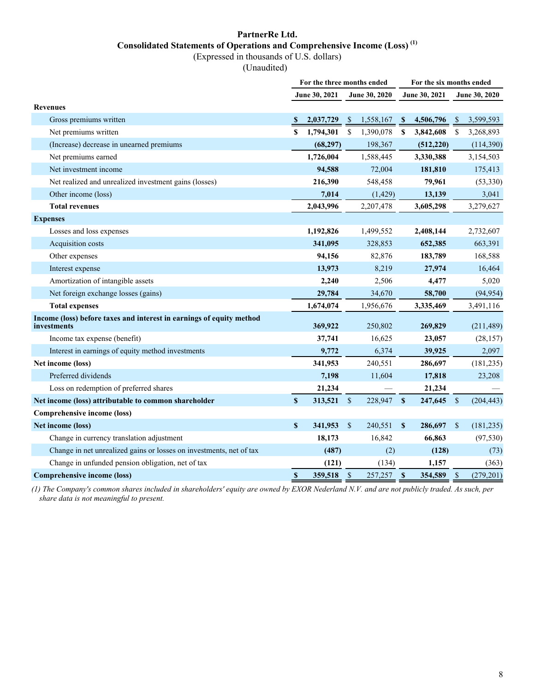# **PartnerRe Ltd. Consolidated Statements of Operations and Comprehensive Income (Loss) (1)**

(Expressed in thousands of U.S. dollars)

(Unaudited)

|                                                                                     | For the three months ended |               |               |                      |               | For the six months ended |               |               |  |  |  |
|-------------------------------------------------------------------------------------|----------------------------|---------------|---------------|----------------------|---------------|--------------------------|---------------|---------------|--|--|--|
|                                                                                     |                            | June 30, 2021 |               | <b>June 30, 2020</b> |               | June 30, 2021            |               | June 30, 2020 |  |  |  |
| <b>Revenues</b>                                                                     |                            |               |               |                      |               |                          |               |               |  |  |  |
| Gross premiums written                                                              |                            | 2,037,729     | <sup>\$</sup> | 1,558,167            | <sup>\$</sup> | 4,506,796                | <sup>\$</sup> | 3,599,593     |  |  |  |
| Net premiums written                                                                | \$                         | 1,794,301     | \$            | 1,390,078            | S             | 3,842,608                | <sup>\$</sup> | 3,268,893     |  |  |  |
| (Increase) decrease in unearned premiums                                            |                            | (68, 297)     |               | 198,367              |               | (512, 220)               |               | (114,390)     |  |  |  |
| Net premiums earned                                                                 |                            | 1,726,004     |               | 1,588,445            |               | 3,330,388                |               | 3,154,503     |  |  |  |
| Net investment income                                                               |                            | 94,588        |               | 72,004               |               | 181,810                  |               | 175,413       |  |  |  |
| Net realized and unrealized investment gains (losses)                               |                            | 216,390       |               | 548,458              |               | 79,961                   |               | (53,330)      |  |  |  |
| Other income (loss)                                                                 |                            | 7,014         |               | (1, 429)             |               | 13,139                   |               | 3,041         |  |  |  |
| <b>Total revenues</b>                                                               |                            | 2,043,996     |               | 2,207,478            |               | 3,605,298                |               | 3,279,627     |  |  |  |
| <b>Expenses</b>                                                                     |                            |               |               |                      |               |                          |               |               |  |  |  |
| Losses and loss expenses                                                            |                            | 1,192,826     |               | 1,499,552            |               | 2,408,144                |               | 2,732,607     |  |  |  |
| Acquisition costs                                                                   |                            | 341,095       |               | 328,853              |               | 652,385                  |               | 663,391       |  |  |  |
| Other expenses                                                                      |                            | 94,156        |               | 82,876               |               | 183,789                  |               | 168,588       |  |  |  |
| Interest expense                                                                    |                            | 13,973        |               | 8,219                |               | 27,974                   |               | 16,464        |  |  |  |
| Amortization of intangible assets                                                   |                            | 2,240         |               | 2,506                |               | 4,477                    |               | 5,020         |  |  |  |
| Net foreign exchange losses (gains)                                                 |                            | 29,784        |               | 34,670               |               | 58,700                   |               | (94, 954)     |  |  |  |
| <b>Total expenses</b>                                                               |                            | 1,674,074     |               | 1,956,676            |               | 3,335,469                |               | 3,491,116     |  |  |  |
| Income (loss) before taxes and interest in earnings of equity method<br>investments |                            | 369,922       |               | 250,802              |               | 269,829                  |               | (211, 489)    |  |  |  |
| Income tax expense (benefit)                                                        |                            | 37,741        |               | 16,625               |               | 23,057                   |               | (28, 157)     |  |  |  |
| Interest in earnings of equity method investments                                   |                            | 9,772         |               | 6,374                |               | 39,925                   |               | 2,097         |  |  |  |
| Net income (loss)                                                                   |                            | 341,953       |               | 240,551              |               | 286,697                  |               | (181, 235)    |  |  |  |
| Preferred dividends                                                                 |                            | 7,198         |               | 11,604               |               | 17,818                   |               | 23,208        |  |  |  |
| Loss on redemption of preferred shares                                              |                            | 21,234        |               |                      |               | 21,234                   |               |               |  |  |  |
| Net income (loss) attributable to common shareholder                                | $\mathbf{s}$               | 313,521       | \$            | 228,947              | $\mathbf{s}$  | 247,645                  | $\mathbb{S}$  | (204, 443)    |  |  |  |
| <b>Comprehensive income (loss)</b>                                                  |                            |               |               |                      |               |                          |               |               |  |  |  |
| Net income (loss)                                                                   | \$                         | 341,953       | $\sqrt{3}$    | 240,551              | $\mathbf{s}$  | 286,697                  | <sup>\$</sup> | (181, 235)    |  |  |  |
| Change in currency translation adjustment                                           |                            | 18,173        |               | 16,842               |               | 66,863                   |               | (97, 530)     |  |  |  |
| Change in net unrealized gains or losses on investments, net of tax                 |                            | (487)         |               | (2)                  |               | (128)                    |               | (73)          |  |  |  |
| Change in unfunded pension obligation, net of tax                                   |                            | (121)         |               | (134)                |               | 1,157                    |               | (363)         |  |  |  |
| <b>Comprehensive income (loss)</b>                                                  | $\boldsymbol{\mathsf{s}}$  | 359,518       | \$            | 257,257              | $\mathbf{s}$  | 354,589                  | \$            | (279, 201)    |  |  |  |

*(1) The Company's common shares included in shareholders' equity are owned by EXOR Nederland N.V. and are not publicly traded. As such, per share data is not meaningful to present.*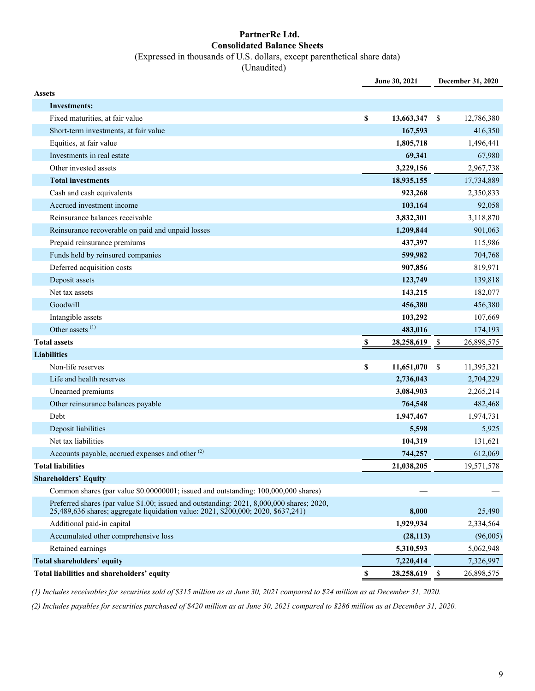### **PartnerRe Ltd. Consolidated Balance Sheets** (Expressed in thousands of U.S. dollars, except parenthetical share data)

(Unaudited)

|               |                                                                                                                                                                                | June 30, 2021    |     | December 31, 2020 |
|---------------|--------------------------------------------------------------------------------------------------------------------------------------------------------------------------------|------------------|-----|-------------------|
| <b>Assets</b> |                                                                                                                                                                                |                  |     |                   |
|               | <b>Investments:</b>                                                                                                                                                            |                  |     |                   |
|               | Fixed maturities, at fair value                                                                                                                                                | \$<br>13,663,347 | -\$ | 12,786,380        |
|               | Short-term investments, at fair value                                                                                                                                          | 167,593          |     | 416,350           |
|               | Equities, at fair value                                                                                                                                                        | 1,805,718        |     | 1,496,441         |
|               | Investments in real estate                                                                                                                                                     | 69,341           |     | 67,980            |
|               | Other invested assets                                                                                                                                                          | 3,229,156        |     | 2,967,738         |
|               | <b>Total investments</b>                                                                                                                                                       | 18,935,155       |     | 17,734,889        |
|               | Cash and cash equivalents                                                                                                                                                      | 923,268          |     | 2,350,833         |
|               | Accrued investment income                                                                                                                                                      | 103,164          |     | 92,058            |
|               | Reinsurance balances receivable                                                                                                                                                | 3,832,301        |     | 3,118,870         |
|               | Reinsurance recoverable on paid and unpaid losses                                                                                                                              | 1,209,844        |     | 901,063           |
|               | Prepaid reinsurance premiums                                                                                                                                                   | 437,397          |     | 115,986           |
|               | Funds held by reinsured companies                                                                                                                                              | 599,982          |     | 704,768           |
|               | Deferred acquisition costs                                                                                                                                                     | 907,856          |     | 819,971           |
|               | Deposit assets                                                                                                                                                                 | 123,749          |     | 139,818           |
|               | Net tax assets                                                                                                                                                                 | 143,215          |     | 182,077           |
|               | Goodwill                                                                                                                                                                       | 456,380          |     | 456,380           |
|               | Intangible assets                                                                                                                                                              | 103,292          |     | 107,669           |
|               | Other assets <sup>(1)</sup>                                                                                                                                                    | 483,016          |     | 174,193           |
|               | <b>Total assets</b>                                                                                                                                                            | \$<br>28,258,619 | -\$ | 26,898,575        |
|               | <b>Liabilities</b>                                                                                                                                                             |                  |     |                   |
|               | Non-life reserves                                                                                                                                                              | \$<br>11,651,070 | \$  | 11,395,321        |
|               | Life and health reserves                                                                                                                                                       | 2,736,043        |     | 2,704,229         |
|               | Unearned premiums                                                                                                                                                              | 3,084,903        |     | 2,265,214         |
|               | Other reinsurance balances payable                                                                                                                                             | 764,548          |     | 482,468           |
|               | Debt                                                                                                                                                                           | 1,947,467        |     | 1,974,731         |
|               | Deposit liabilities                                                                                                                                                            | 5,598            |     | 5,925             |
|               | Net tax liabilities                                                                                                                                                            | 104,319          |     | 131,621           |
|               | Accounts payable, accrued expenses and other <sup>(2)</sup>                                                                                                                    | 744,257          |     | 612,069           |
|               | <b>Total liabilities</b>                                                                                                                                                       | 21,038,205       |     | 19,571,578        |
|               | <b>Shareholders' Equity</b>                                                                                                                                                    |                  |     |                   |
|               | Common shares (par value \$0.00000001; issued and outstanding: 100,000,000 shares)                                                                                             |                  |     |                   |
|               | Preferred shares (par value \$1.00; issued and outstanding: 2021, 8,000,000 shares; 2020,<br>25,489,636 shares; aggregate liquidation value: 2021, \$200,000; 2020, \$637,241) | 8,000            |     | 25,490            |
|               | Additional paid-in capital                                                                                                                                                     | 1,929,934        |     | 2,334,564         |
|               | Accumulated other comprehensive loss                                                                                                                                           | (28, 113)        |     | (96,005)          |
|               | Retained earnings                                                                                                                                                              | 5,310,593        |     | 5,062,948         |
|               | <b>Total shareholders' equity</b>                                                                                                                                              | 7,220,414        |     | 7,326,997         |
|               | Total liabilities and shareholders' equity                                                                                                                                     | \$<br>28,258,619 | \$  | 26,898,575        |

*(1) Includes receivables for securities sold of \$315 million as at June 30, 2021 compared to \$24 million as at December 31, 2020.* 

*(2) Includes payables for securities purchased of \$420 million as at June 30, 2021 compared to \$286 million as at December 31, 2020.*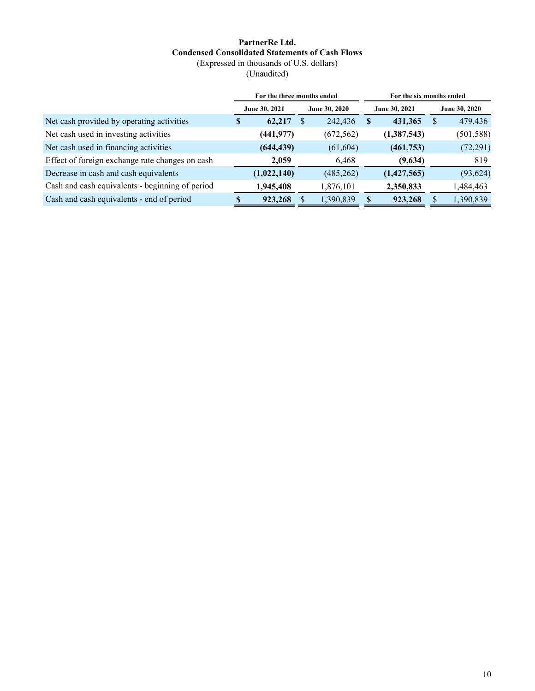### **PartnerRe Ltd. Condensed Consolidated Statements of Cash Flows** (Expressed in thousands of U.S. dollars)

(Unaudited)

|                                                 |                                | For the three months ended |              |            |               | For the six months ended |            |
|-------------------------------------------------|--------------------------------|----------------------------|--------------|------------|---------------|--------------------------|------------|
|                                                 | June 30, 2021<br>June 30, 2020 |                            |              |            | June 30, 2021 | June 30, 2020            |            |
| Net cash provided by operating activities       | \$                             | 62,217                     | <sup>S</sup> | 242,436    | S             | 431,365                  | 479,436    |
| Net cash used in investing activities           |                                | (441,977)                  |              | (672, 562) |               | (1,387,543)              | (501, 588) |
| Net cash used in financing activities           |                                | (644, 439)                 |              | (61, 604)  |               | (461,753)                | (72, 291)  |
| Effect of foreign exchange rate changes on cash |                                | 2,059                      |              | 6,468      |               | (9,634)                  | 819        |
| Decrease in cash and cash equivalents           |                                | (1,022,140)                |              | (485, 262) |               | (1,427,565)              | (93, 624)  |
| Cash and cash equivalents - beginning of period |                                | 1,945,408                  |              | 1,876,101  |               | 2,350,833                | 1,484,463  |
| Cash and cash equivalents - end of period       |                                | 923,268                    |              | 1,390,839  |               | 923,268                  | 1,390,839  |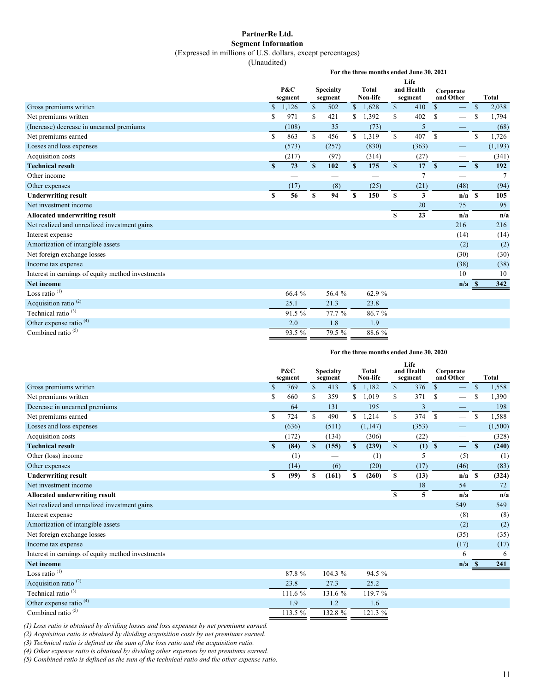#### **PartnerRe Ltd. Segment Information**

#### (Expressed in millions of U.S. dollars, except percentages)

(Unaudited)

**For the three months ended June 30, 2021**

|                                                   |               | P&C     |              | <b>Specialty</b> |              | Total    |              | and Health | Corporate    |                          |               |              |
|---------------------------------------------------|---------------|---------|--------------|------------------|--------------|----------|--------------|------------|--------------|--------------------------|---------------|--------------|
|                                                   |               | segment |              | segment          |              | Non-life |              | segment    | and Other    |                          |               | <b>Total</b> |
| Gross premiums written                            | $\mathbb{S}$  | 1,126   | $\mathbb{S}$ | 502              | $\mathbb{S}$ | 1,628    | $\mathbb{S}$ | 410        | $\mathbb{S}$ |                          | \$            | 2,038        |
| Net premiums written                              | \$            | 971     | S            | 421              | S.           | 1,392    | \$           | 402        | S            |                          | \$            | 1,794        |
| (Increase) decrease in unearned premiums          |               | (108)   |              | 35               |              | (73)     |              | 5          |              | —                        |               | (68)         |
| Net premiums earned                               | <sup>\$</sup> | 863     | $\mathbf S$  | 456              | S            | 1,319    | $\mathbb{S}$ | 407        | $\mathbb{S}$ | $\qquad \qquad$          | <sup>\$</sup> | 1,726        |
| Losses and loss expenses                          |               | (573)   |              | (257)            |              | (830)    |              | (363)      |              |                          |               | (1, 193)     |
| Acquisition costs                                 |               | (217)   |              | (97)             |              | (314)    |              | (27)       |              | $\overline{\phantom{0}}$ |               | (341)        |
| <b>Technical result</b>                           | $\mathbf{s}$  | 73      | S            | 102              | S            | 175      | $\mathbf{s}$ | 17         | $\mathbf{s}$ |                          | $\mathbf{s}$  | 192          |
| Other income                                      |               |         |              |                  |              |          |              |            |              | $\overline{\phantom{0}}$ |               |              |
| Other expenses                                    |               | (17)    |              | (8)              |              | (25)     |              | (21)       |              | (48)                     |               | (94)         |
| <b>Underwriting result</b>                        | \$            | 56      | \$           | 94               | \$           | 150      | \$           | 3          |              | $n/a$ \$                 |               | 105          |
| Net investment income                             |               |         |              |                  |              |          |              | 20         |              | 75                       |               | 95           |
| Allocated underwriting result                     |               |         |              |                  |              |          | S            | 23         |              | n/a                      |               | n/a          |
| Net realized and unrealized investment gains      |               |         |              |                  |              |          |              |            |              | 216                      |               | 216          |
| Interest expense                                  |               |         |              |                  |              |          |              |            |              | (14)                     |               | (14)         |
| Amortization of intangible assets                 |               |         |              |                  |              |          |              |            |              | (2)                      |               | (2)          |
| Net foreign exchange losses                       |               |         |              |                  |              |          |              |            |              | (30)                     |               | (30)         |
| Income tax expense                                |               |         |              |                  |              |          |              |            |              | (38)                     |               | (38)         |
| Interest in earnings of equity method investments |               |         |              |                  |              |          |              |            |              | 10                       |               | 10           |
| <b>Net income</b>                                 |               |         |              |                  |              |          |              |            |              | n/a                      | -8            | 342          |
| Loss ratio <sup>(1)</sup>                         |               | 66.4 %  |              | 56.4 %           |              | 62.9 %   |              |            |              |                          |               |              |
| Acquisition ratio <sup>(2)</sup>                  |               | 25.1    |              | 21.3             |              | 23.8     |              |            |              |                          |               |              |
| Technical ratio <sup>(3)</sup>                    |               | 91.5 %  |              | 77.7 %           |              | 86.7%    |              |            |              |                          |               |              |
| Other expense ratio <sup>(4)</sup>                |               | 2.0     |              | 1.8              |              | 1.9      |              |            |              |                          |               |              |
| Combined ratio <sup>(5)</sup>                     |               | 93.5 %  |              | 79.5 %           |              | 88.6%    |              |            |              |                          |               |              |

#### **For the three months ended June 30, 2020**

|                                                   |             | P&C<br>segment |                           | <b>Specialty</b><br>segment |              | <b>Total</b><br>Non-life |              | Life<br>and Health<br>segment | and Other     | Corporate                       |               | <b>Total</b> |
|---------------------------------------------------|-------------|----------------|---------------------------|-----------------------------|--------------|--------------------------|--------------|-------------------------------|---------------|---------------------------------|---------------|--------------|
| Gross premiums written                            | $\mathbf S$ | 769            | $\mathbb{S}$              | 413                         | $\mathbb{S}$ | 1,182                    | $\mathbf S$  | 376                           | $\mathbf S$   |                                 | $\mathbb{S}$  | 1,558        |
| Net premiums written                              | \$          | 660            | $\mathbf S$               | 359                         | S            | 1,019                    | \$           | 371                           | <sup>\$</sup> |                                 | S             | 1,390        |
| Decrease in unearned premiums                     |             | 64             |                           | 131                         |              | 195                      |              | 3                             |               |                                 |               | 198          |
| Net premiums earned                               | S           | 724            | $\mathbb{S}$              | 490                         | $\mathbb{S}$ | 1,214                    | \$           | 374                           | <sup>\$</sup> |                                 | <sup>\$</sup> | 1,588        |
| Losses and loss expenses                          |             | (636)          |                           | (511)                       |              | (1, 147)                 |              | (353)                         |               |                                 |               | (1,500)      |
| Acquisition costs                                 |             | (172)          |                           | (134)                       |              | (306)                    |              | (22)                          |               | $\hspace{0.1mm}-\hspace{0.1mm}$ |               | (328)        |
| <b>Technical result</b>                           | S           | (84)           | $\boldsymbol{\mathsf{s}}$ | (155)                       | $\mathbf{s}$ | (239)                    | $\mathbf{s}$ | (1)                           | $\mathbf{s}$  | —                               | $\mathbf{s}$  | (240)        |
| Other (loss) income                               |             | (1)            |                           |                             |              | (1)                      |              | 5                             |               | (5)                             |               | (1)          |
| Other expenses                                    |             | (14)           |                           | (6)                         |              | (20)                     |              | (17)                          |               | (46)                            |               | (83)         |
| <b>Underwriting result</b>                        | S           | (99)           | \$                        | (161)                       | S            | (260)                    | S            | (13)                          |               | $n/a$ S                         |               | (324)        |
| Net investment income                             |             |                |                           |                             |              |                          |              | 18                            |               | 54                              |               | 72           |
| <b>Allocated underwriting result</b>              |             |                |                           |                             |              |                          | S            | 5                             |               | n/a                             |               | n/a          |
| Net realized and unrealized investment gains      |             |                |                           |                             |              |                          |              |                               |               | 549                             |               | 549          |
| Interest expense                                  |             |                |                           |                             |              |                          |              |                               |               | (8)                             |               | (8)          |
| Amortization of intangible assets                 |             |                |                           |                             |              |                          |              |                               |               | (2)                             |               | (2)          |
| Net foreign exchange losses                       |             |                |                           |                             |              |                          |              |                               |               | (35)                            |               | (35)         |
| Income tax expense                                |             |                |                           |                             |              |                          |              |                               |               | (17)                            |               | (17)         |
| Interest in earnings of equity method investments |             |                |                           |                             |              |                          |              |                               |               | 6                               |               | 6            |
| <b>Net income</b>                                 |             |                |                           |                             |              |                          |              |                               |               | n/a                             | - S           | 241          |
| Loss ratio $(1)$                                  |             | 87.8%          |                           | 104.3 %                     |              | 94.5 %                   |              |                               |               |                                 |               |              |
| Acquisition ratio <sup>(2)</sup>                  |             | 23.8           |                           | 27.3                        |              | 25.2                     |              |                               |               |                                 |               |              |
| Technical ratio <sup>(3)</sup>                    |             | 111.6 %        |                           | 131.6 %                     |              | 119.7 %                  |              |                               |               |                                 |               |              |
| Other expense ratio <sup>(4)</sup>                |             | 1.9            |                           | 1.2                         |              | 1.6                      |              |                               |               |                                 |               |              |
| Combined ratio $(5)$                              |             | 113.5 %        |                           | 132.8 %                     |              | 121.3 %                  |              |                               |               |                                 |               |              |

*(1) Loss ratio is obtained by dividing losses and loss expenses by net premiums earned.*

*(2) Acquisition ratio is obtained by dividing acquisition costs by net premiums earned.*

*(3) Technical ratio is defined as the sum of the loss ratio and the acquisition ratio.*

*(4) Other expense ratio is obtained by dividing other expenses by net premiums earned.*

*(5) Combined ratio is defined as the sum of the technical ratio and the other expense ratio.*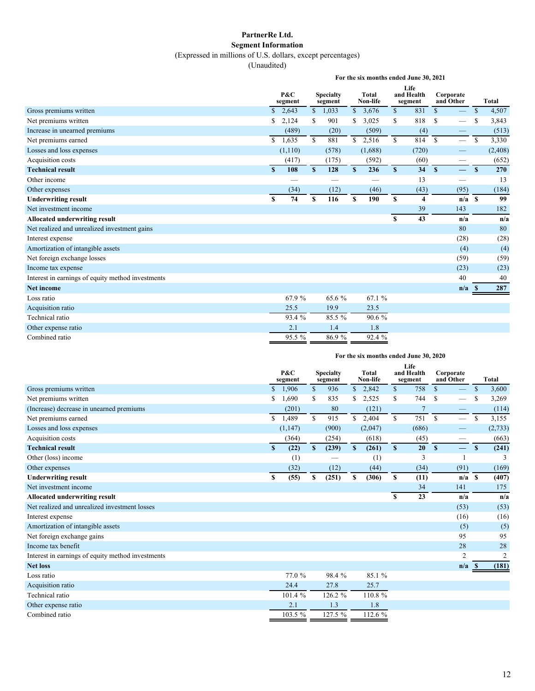## **PartnerRe Ltd. Segment Information**

(Expressed in millions of U.S. dollars, except percentages)

(Unaudited)

|                                                   | For the six months ended June 30, 2021 |                |              |                             |              |                          |              |                               |                        |                                |               |              |  |
|---------------------------------------------------|----------------------------------------|----------------|--------------|-----------------------------|--------------|--------------------------|--------------|-------------------------------|------------------------|--------------------------------|---------------|--------------|--|
|                                                   |                                        | P&C<br>segment |              | <b>Specialty</b><br>segment |              | <b>Total</b><br>Non-life |              | Life<br>and Health<br>segment | Corporate<br>and Other |                                |               | <b>Total</b> |  |
| Gross premiums written                            | $\mathbf S$                            | 2,643          |              | \$1,033                     | $\mathbb{S}$ | 3,676                    | $\mathbb{S}$ | 831                           | $\mathcal{S}$          |                                | $\mathbb{S}$  | 4,507        |  |
| Net premiums written                              | \$                                     | 2,124          | S            | 901                         | S            | 3,025                    | \$           | 818                           | <sup>\$</sup>          |                                | S             | 3,843        |  |
| Increase in unearned premiums                     |                                        | (489)          |              | (20)                        |              | (509)                    |              | (4)                           |                        | $\qquad \qquad \longleftarrow$ |               | (513)        |  |
| Net premiums earned                               | \$                                     | 1,635          | $\mathbb{S}$ | 881                         | $\mathbb{S}$ | 2,516                    | $\mathbb{S}$ | 814                           | $\mathbb{S}$           |                                | <sup>\$</sup> | 3,330        |  |
| Losses and loss expenses                          |                                        | (1,110)        |              | (578)                       |              | (1,688)                  |              | (720)                         |                        |                                |               | (2, 408)     |  |
| Acquisition costs                                 |                                        | (417)          |              | (175)                       |              | (592)                    |              | (60)                          |                        | —                              |               | (652)        |  |
| <b>Technical result</b>                           | $\mathbf{s}$                           | 108            | $\mathbf{s}$ | 128                         | S            | 236                      | $\mathbb{S}$ | 34                            | $\mathbf{s}$           | $\overline{\phantom{0}}$       | $\mathbf{s}$  | 270          |  |
| Other income                                      |                                        |                |              |                             |              |                          |              | 13                            |                        |                                |               | 13           |  |
| Other expenses                                    |                                        | (34)           |              | (12)                        |              | (46)                     |              | (43)                          |                        | (95)                           |               | (184)        |  |
| <b>Underwriting result</b>                        | S                                      | 74             | \$           | 116                         | S.           | 190                      | S            | 4                             |                        | $n/a$ S                        |               | 99           |  |
| Net investment income                             |                                        |                |              |                             |              |                          |              | 39                            |                        | 143                            |               | 182          |  |
| <b>Allocated underwriting result</b>              |                                        |                |              |                             |              |                          | S            | 43                            |                        | n/a                            |               | n/a          |  |
| Net realized and unrealized investment gains      |                                        |                |              |                             |              |                          |              |                               |                        | 80                             |               | 80           |  |
| Interest expense                                  |                                        |                |              |                             |              |                          |              |                               |                        | (28)                           |               | (28)         |  |
| Amortization of intangible assets                 |                                        |                |              |                             |              |                          |              |                               |                        | (4)                            |               | (4)          |  |
| Net foreign exchange losses                       |                                        |                |              |                             |              |                          |              |                               |                        | (59)                           |               | (59)         |  |
| Income tax expense                                |                                        |                |              |                             |              |                          |              |                               |                        | (23)                           |               | (23)         |  |
| Interest in earnings of equity method investments |                                        |                |              |                             |              |                          |              |                               |                        | 40                             |               | 40           |  |
| <b>Net income</b>                                 |                                        |                |              |                             |              |                          |              |                               |                        | n/a                            | -8            | 287          |  |
| Loss ratio                                        |                                        | 67.9 %         |              | 65.6 %                      |              | 67.1 %                   |              |                               |                        |                                |               |              |  |
| Acquisition ratio                                 |                                        | 25.5           |              | 19.9                        |              | 23.5                     |              |                               |                        |                                |               |              |  |
| Technical ratio                                   |                                        | 93.4 %         |              | 85.5 %                      |              | 90.6 %                   |              |                               |                        |                                |               |              |  |
| Other expense ratio                               |                                        | 2.1            |              | 1.4                         |              | 1.8                      |              |                               |                        |                                |               |              |  |
| Combined ratio                                    |                                        | 95.5 %         |              | 86.9%                       |              | 92.4 %                   |              |                               |                        |                                |               |              |  |

### **For the six months ended June 30, 2020**

|                                                   | P&C<br>segment |          | <b>Specialty</b><br>segment | Total<br>Non-life |              |         | Life<br>and Health<br>segment |                 | Corporate<br>and Other |                | <b>Total</b>  |                |
|---------------------------------------------------|----------------|----------|-----------------------------|-------------------|--------------|---------|-------------------------------|-----------------|------------------------|----------------|---------------|----------------|
| Gross premiums written                            | $\mathbb{S}$   | 1,906    | $\mathbb{S}$                | 936               |              | \$2,842 | \$                            | 758             | $\mathbf S$            |                | \$            | 3,600          |
| Net premiums written                              | \$             | 1,690    | \$                          | 835               | S.           | 2,525   | \$                            | 744             | \$                     |                |               | 3,269          |
| (Increase) decrease in unearned premiums          |                | (201)    |                             | 80                |              | (121)   |                               | 7               |                        |                |               | (114)          |
| Net premiums earned                               | \$             | 1,489    | \$                          | 915               | \$           | 2,404   | \$                            | 751             | \$                     |                | <sup>\$</sup> | 3,155          |
| Losses and loss expenses                          |                | (1, 147) |                             | (900)             |              | (2,047) |                               | (686)           |                        |                |               | (2,733)        |
| Acquisition costs                                 |                | (364)    |                             | (254)             |              | (618)   |                               | (45)            |                        |                |               | (663)          |
| <b>Technical result</b>                           | $\mathbf{s}$   | (22)     | $\mathbf{s}$                | (239)             | $\mathbf{s}$ | (261)   | $\mathbf{s}$                  | 20 <sup>°</sup> | $\mathbf{s}$           | $\equiv$       | $\mathbf{s}$  | (241)          |
| Other (loss) income                               |                | (1)      |                             |                   |              | (1)     |                               | 3               |                        |                |               |                |
| Other expenses                                    |                | (32)     |                             | (12)              |              | (44)    |                               | (34)            |                        | (91)           |               | (169)          |
| <b>Underwriting result</b>                        | S              | (55)     | S                           | (251)             | S            | (306)   | S                             | (11)            |                        | $n/a$ S        |               | (407)          |
| Net investment income                             |                |          |                             |                   |              |         |                               | 34              |                        | 141            |               | 175            |
| <b>Allocated underwriting result</b>              |                |          |                             |                   |              |         | S                             | 23              |                        | n/a            |               | n/a            |
| Net realized and unrealized investment losses     |                |          |                             |                   |              |         |                               |                 |                        | (53)           |               | (53)           |
| Interest expense                                  |                |          |                             |                   |              |         |                               |                 |                        | (16)           |               | (16)           |
| Amortization of intangible assets                 |                |          |                             |                   |              |         |                               |                 |                        | (5)            |               | (5)            |
| Net foreign exchange gains                        |                |          |                             |                   |              |         |                               |                 |                        | 95             |               | 95             |
| Income tax benefit                                |                |          |                             |                   |              |         |                               |                 |                        | 28             |               | 28             |
| Interest in earnings of equity method investments |                |          |                             |                   |              |         |                               |                 |                        | $\overline{2}$ |               | $\overline{2}$ |
| <b>Net loss</b>                                   |                |          |                             |                   |              |         |                               |                 |                        | n/a            | -8            | (181)          |
| Loss ratio                                        |                | 77.0 %   |                             | 98.4 %            |              | 85.1 %  |                               |                 |                        |                |               |                |
| Acquisition ratio                                 |                | 24.4     |                             | 27.8              |              | 25.7    |                               |                 |                        |                |               |                |
| Technical ratio                                   |                | 101.4 %  |                             | 126.2 %           |              | 110.8 % |                               |                 |                        |                |               |                |
| Other expense ratio                               |                | 2.1      |                             | 1.3               |              | 1.8     |                               |                 |                        |                |               |                |
| Combined ratio                                    |                | 103.5 %  |                             | 127.5 %           |              | 112.6 % |                               |                 |                        |                |               |                |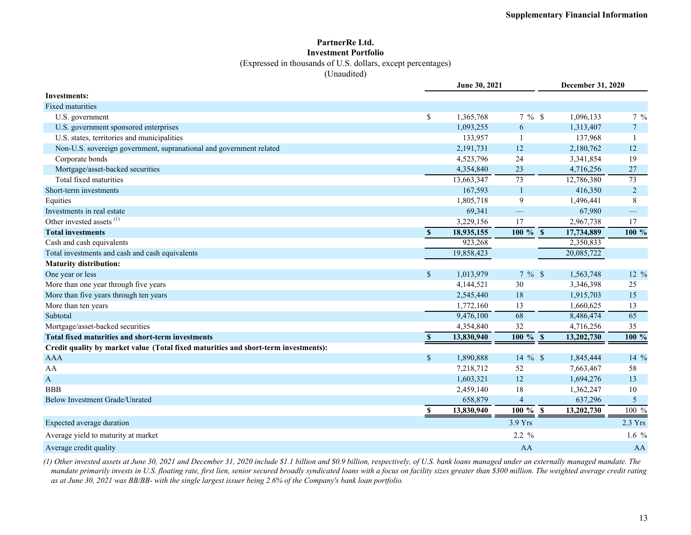#### **PartnerRe Ltd. Investment Portfolio**

(Expressed in thousands of U.S. dollars, except percentages)

(Unaudited)

|                                                                                     |                    | June 30, 2021 |                       | December 31, 2020 |                 |
|-------------------------------------------------------------------------------------|--------------------|---------------|-----------------------|-------------------|-----------------|
| <b>Investments:</b>                                                                 |                    |               |                       |                   |                 |
| <b>Fixed maturities</b>                                                             |                    |               |                       |                   |                 |
| U.S. government                                                                     | \$                 | 1,365,768     | $7\%$ \$              | 1,096,133         | $7\frac{9}{6}$  |
| U.S. government sponsored enterprises                                               |                    | 1,093,255     | 6                     | 1,313,407         | $7\overline{ }$ |
| U.S. states, territories and municipalities                                         |                    | 133,957       | $\mathbf{1}$          | 137,968           | $\mathbf{1}$    |
| Non-U.S. sovereign government, supranational and government related                 |                    | 2,191,731     | 12                    | 2,180,762         | 12              |
| Corporate bonds                                                                     |                    | 4,523,796     | 24                    | 3,341,854         | 19              |
| Mortgage/asset-backed securities                                                    |                    | 4,354,840     | 23                    | 4,716,256         | 27              |
| Total fixed maturities                                                              |                    | 13,663,347    | 73                    | 12,786,380        | 73              |
| Short-term investments                                                              |                    | 167,593       | $\mathbf{1}$          | 416,350           | $\overline{c}$  |
| Equities                                                                            |                    | 1,805,718     | $\mathbf{9}$          | 1,496,441         | 8               |
| Investments in real estate                                                          |                    | 69,341        |                       | 67,980            |                 |
| Other invested assets <sup>(1)</sup>                                                |                    | 3,229,156     | 17                    | 2,967,738         | 17              |
| <b>Total investments</b>                                                            | $\mathbf{s}$       | 18,935,155    | $100 \%$ \$           | 17,734,889        | 100 %           |
| Cash and cash equivalents                                                           |                    | 923,268       |                       | 2,350,833         |                 |
| Total investments and cash and cash equivalents                                     |                    | 19,858,423    |                       | 20,085,722        |                 |
| <b>Maturity distribution:</b>                                                       |                    |               |                       |                   |                 |
| One year or less                                                                    | $\sqrt{\ }$        | 1,013,979     | $7 \%$ \$             | 1,563,748         | 12 %            |
| More than one year through five years                                               |                    | 4,144,521     | 30                    | 3,346,398         | 25              |
| More than five years through ten years                                              |                    | 2,545,440     | 18                    | 1,915,703         | 15              |
| More than ten years                                                                 |                    | 1,772,160     | 13                    | 1,660,625         | 13              |
| Subtotal                                                                            |                    | 9,476,100     | 68                    | 8,486,474         | 65              |
| Mortgage/asset-backed securities                                                    |                    | 4,354,840     | 32                    | 4,716,256         | 35              |
| Total fixed maturities and short-term investments                                   | $\mathbf{s}$       | 13,830,940    | $\overline{100\%}$ \$ | 13,202,730        | 100 %           |
| Credit quality by market value (Total fixed maturities and short-term investments): |                    |               |                       |                   |                 |
| AAA                                                                                 | $\mathsf{\$}$      | 1,890,888     | $14 \%$ \$            | 1,845,444         | 14 %            |
| AA                                                                                  |                    | 7,218,712     | 52                    | 7,663,467         | 58              |
| $\mathbf{A}$                                                                        |                    | 1,603,321     | 12                    | 1,694,276         | 13              |
| <b>BBB</b>                                                                          |                    | 2,459,140     | 18                    | 1,362,247         | 10              |
| <b>Below Investment Grade/Unrated</b>                                               |                    | 658,879       | $\overline{4}$        | 637,296           | 5               |
|                                                                                     | $\pmb{\mathbb{S}}$ | 13,830,940    | $100 \%$ \$           | 13,202,730        | 100 %           |
| Expected average duration                                                           |                    |               | 3.9 Yrs               |                   | $2.3$ Yrs       |
| Average yield to maturity at market                                                 |                    |               | $2.2 \%$              |                   | 1.6 $%$         |
| Average credit quality                                                              |                    |               | AA                    |                   | AA              |

*(1) Other invested assets at June 30, 2021 and December 31, 2020 include \$1.1 billion and \$0.9 billion, respectively, of U.S. bank loans managed under an externally managed mandate. The mandate primarily invests in U.S. floating rate, first lien, senior secured broadly syndicated loans with a focus on facility sizes greater than \$300 million. The weighted average credit rating as at June 30, 2021 was BB/BB- with the single largest issuer being 2.6% of the Company's bank loan portfolio.*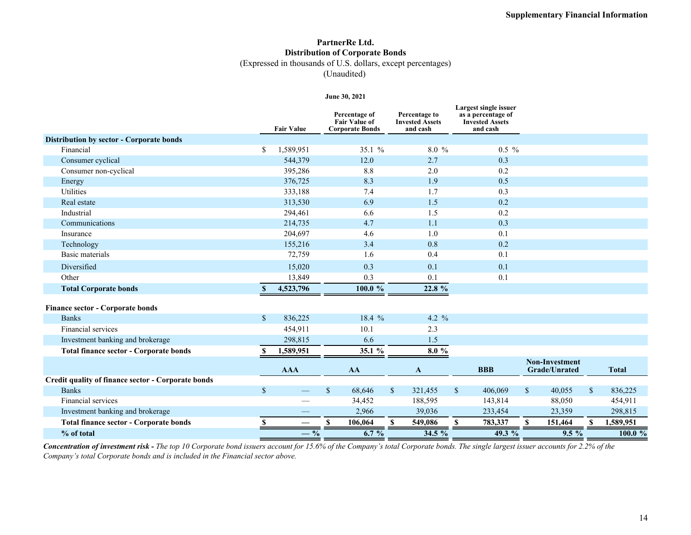## **PartnerRe Ltd. Distribution of Corporate Bonds**

(Expressed in thousands of U.S. dollars, except percentages)

(Unaudited)

#### **June 30, 2021**

|                                                    |             | <b>Fair Value</b>        | Percentage of<br><b>Fair Value of</b><br><b>Corporate Bonds</b> | Percentage to<br><b>Invested Assets</b><br>and cash | Largest single issuer<br>as a percentage of<br><b>Invested Assets</b><br>and cash |                                        |              |              |
|----------------------------------------------------|-------------|--------------------------|-----------------------------------------------------------------|-----------------------------------------------------|-----------------------------------------------------------------------------------|----------------------------------------|--------------|--------------|
| Distribution by sector - Corporate bonds           |             |                          |                                                                 |                                                     |                                                                                   |                                        |              |              |
| Financial                                          | \$          | 1,589,951                | 35.1 %                                                          | $8.0\%$                                             | $0.5\%$                                                                           |                                        |              |              |
| Consumer cyclical                                  |             | 544,379                  | 12.0                                                            | 2.7                                                 | 0.3                                                                               |                                        |              |              |
| Consumer non-cyclical                              |             | 395,286                  | 8.8                                                             | 2.0                                                 | 0.2                                                                               |                                        |              |              |
| Energy                                             |             | 376,725                  | 8.3                                                             | 1.9                                                 | 0.5                                                                               |                                        |              |              |
| <b>Utilities</b>                                   |             | 333,188                  | 7.4                                                             | 1.7                                                 | 0.3                                                                               |                                        |              |              |
| Real estate                                        |             | 313,530                  | 6.9                                                             | 1.5                                                 | 0.2                                                                               |                                        |              |              |
| Industrial                                         |             | 294,461                  | 6.6                                                             | 1.5                                                 | 0.2                                                                               |                                        |              |              |
| Communications                                     |             | 214,735                  | 4.7                                                             | 1.1                                                 | 0.3                                                                               |                                        |              |              |
| Insurance                                          |             | 204,697                  | 4.6                                                             | 1.0                                                 | 0.1                                                                               |                                        |              |              |
| Technology                                         |             | 155,216                  | 3.4                                                             | 0.8                                                 | 0.2                                                                               |                                        |              |              |
| Basic materials                                    |             | 72,759                   | 1.6                                                             | 0.4                                                 | 0.1                                                                               |                                        |              |              |
| Diversified                                        |             | 15,020                   | 0.3                                                             | 0.1                                                 | 0.1                                                                               |                                        |              |              |
| Other                                              |             | 13,849                   | 0.3                                                             | 0.1                                                 | 0.1                                                                               |                                        |              |              |
| <b>Total Corporate bonds</b>                       |             | 4,523,796                | 100.0 %                                                         | 22.8 %                                              |                                                                                   |                                        |              |              |
| Finance sector - Corporate bonds                   |             |                          |                                                                 |                                                     |                                                                                   |                                        |              |              |
| <b>Banks</b>                                       | $\sqrt{\ }$ | 836,225                  | 18.4 %                                                          | 4.2 $\frac{9}{6}$                                   |                                                                                   |                                        |              |              |
| Financial services                                 |             | 454,911                  | 10.1                                                            | 2.3                                                 |                                                                                   |                                        |              |              |
| Investment banking and brokerage                   |             | 298,815                  | 6.6                                                             | 1.5                                                 |                                                                                   |                                        |              |              |
| <b>Total finance sector - Corporate bonds</b>      | S           | 1,589,951                | 35.1 %                                                          | $8.0\ \%$                                           |                                                                                   |                                        |              |              |
|                                                    |             | <b>AAA</b>               | AA                                                              | $\mathbf{A}$                                        | <b>BBB</b>                                                                        | <b>Non-Investment</b><br>Grade/Unrated |              | <b>Total</b> |
| Credit quality of finance sector - Corporate bonds |             |                          |                                                                 |                                                     |                                                                                   |                                        |              |              |
| <b>Banks</b>                                       | $\sqrt{\ }$ |                          | $\mathbf{s}$<br>68,646                                          | $\mathbb{S}$<br>321,455                             | $\mathbb{S}$<br>406,069                                                           | $\mathbb{S}$<br>40,055                 | $\mathbb{S}$ | 836,225      |
| Financial services                                 |             |                          | 34,452                                                          | 188,595                                             | 143,814                                                                           | 88,050                                 |              | 454,911      |
| Investment banking and brokerage                   |             |                          | 2,966                                                           | 39,036                                              | 233,454                                                                           | 23,359                                 |              | 298,815      |
| <b>Total finance sector - Corporate bonds</b>      | S           | $\overline{\phantom{0}}$ | $\mathbf{s}$<br>106,064                                         | 549,086<br>S                                        | S<br>783,337                                                                      | 151,464<br>\$.                         |              | 1,589,951    |
| % of total                                         |             | $-$ %                    | $6.7\%$                                                         | $34.5\%$                                            | $49.3\%$                                                                          | $9.5\%$                                |              | 100.0%       |

*Concentration of investment risk - The top 10 Corporate bond issuers account for 15.6% of the Company's total Corporate bonds. The single largest issuer accounts for 2.2% of the Company's total Corporate bonds and is included in the Financial sector above.*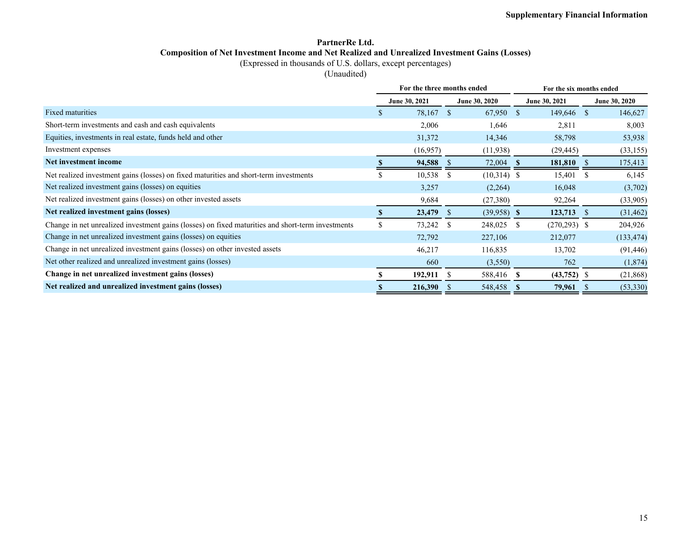### **PartnerRe Ltd. Composition of Net Investment Income and Net Realized and Unrealized Investment Gains (Losses)**

(Expressed in thousands of U.S. dollars, except percentages)

(Unaudited)

|                                                                                                   | For the three months ended |               |               |    | For the six months ended |              |               |
|---------------------------------------------------------------------------------------------------|----------------------------|---------------|---------------|----|--------------------------|--------------|---------------|
|                                                                                                   | June 30, 2021              |               | June 30, 2020 |    | June 30, 2021            |              | June 30, 2020 |
| <b>Fixed maturities</b>                                                                           | 78,167 \$                  |               | 67,950 \$     |    | 149,646 \$               |              | 146,627       |
| Short-term investments and cash and cash equivalents                                              | 2,006                      |               | 1,646         |    | 2,811                    |              | 8,003         |
| Equities, investments in real estate, funds held and other                                        | 31,372                     |               | 14,346        |    | 58,798                   |              | 53,938        |
| Investment expenses                                                                               | (16,957)                   |               | (11,938)      |    | (29, 445)                |              | (33, 155)     |
| Net investment income                                                                             | 94,588                     |               | 72,004        |    | 181,810                  | -8           | 175,413       |
| Net realized investment gains (losses) on fixed maturities and short-term investments             | 10,538                     | <sup>\$</sup> | $(10,314)$ \$ |    | 15,401                   | <sup>8</sup> | 6,145         |
| Net realized investment gains (losses) on equities                                                | 3,257                      |               | (2,264)       |    | 16,048                   |              | (3,702)       |
| Net realized investment gains (losses) on other invested assets                                   | 9,684                      |               | (27,380)      |    | 92,264                   |              | (33,905)      |
| Net realized investment gains (losses)                                                            | 23,479                     | -S            | $(39,958)$ \$ |    | 123,713                  | -S           | (31, 462)     |
| Change in net unrealized investment gains (losses) on fixed maturities and short-term investments | \$<br>73,242               | <sup>\$</sup> | 248,025       | -S | $(270, 293)$ \$          |              | 204,926       |
| Change in net unrealized investment gains (losses) on equities                                    | 72,792                     |               | 227,106       |    | 212,077                  |              | (133, 474)    |
| Change in net unrealized investment gains (losses) on other invested assets                       | 46,217                     |               | 116,835       |    | 13,702                   |              | (91, 446)     |
| Net other realized and unrealized investment gains (losses)                                       | 660                        |               | (3,550)       |    | 762                      |              | (1,874)       |
| Change in net unrealized investment gains (losses)                                                | 192,911                    |               | 588,416 \$    |    | $(43,752)$ \$            |              | (21,868)      |
| Net realized and unrealized investment gains (losses)                                             | 216,390                    |               | 548,458       | -S | 79,961                   | -S           | (53,330)      |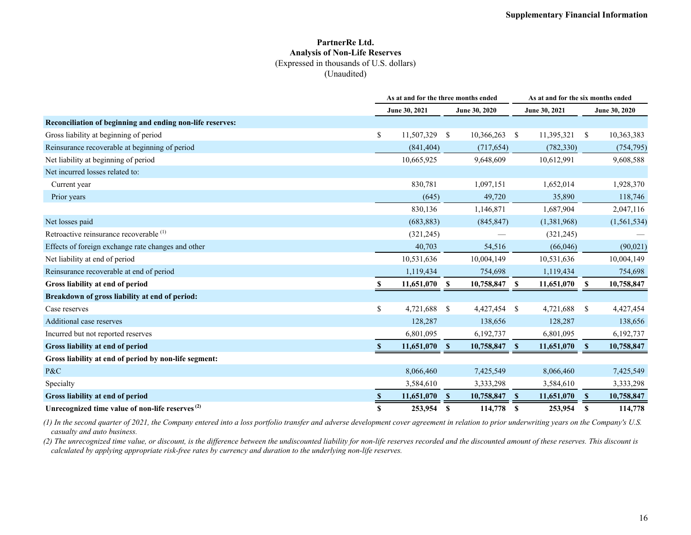#### **PartnerRe Ltd. Analysis of Non-Life Reserves** (Expressed in thousands of U.S. dollars) (Unaudited)

|                                                             |    | As at and for the three months ended |              |               |               | As at and for the six months ended |          |               |
|-------------------------------------------------------------|----|--------------------------------------|--------------|---------------|---------------|------------------------------------|----------|---------------|
|                                                             |    | June 30, 2021                        |              | June 30, 2020 |               | June 30, 2021                      |          | June 30, 2020 |
| Reconciliation of beginning and ending non-life reserves:   |    |                                      |              |               |               |                                    |          |               |
| Gross liability at beginning of period                      | \$ | 11,507,329 \$                        |              | 10,366,263    | -S            | 11,395,321                         | -S       | 10,363,383    |
| Reinsurance recoverable at beginning of period              |    | (841, 404)                           |              | (717, 654)    |               | (782, 330)                         |          | (754, 795)    |
| Net liability at beginning of period                        |    | 10,665,925                           |              | 9,648,609     |               | 10,612,991                         |          | 9,608,588     |
| Net incurred losses related to:                             |    |                                      |              |               |               |                                    |          |               |
| Current year                                                |    | 830,781                              |              | 1,097,151     |               | 1,652,014                          |          | 1,928,370     |
| Prior years                                                 |    | (645)                                |              | 49,720        |               | 35,890                             |          | 118,746       |
|                                                             |    | 830,136                              |              | 1,146,871     |               | 1,687,904                          |          | 2,047,116     |
| Net losses paid                                             |    | (683, 883)                           |              | (845, 847)    |               | (1,381,968)                        |          | (1, 561, 534) |
| Retroactive reinsurance recoverable <sup>(1)</sup>          |    | (321, 245)                           |              |               |               | (321, 245)                         |          |               |
| Effects of foreign exchange rate changes and other          |    | 40,703                               |              | 54,516        |               | (66,046)                           |          | (90,021)      |
| Net liability at end of period                              |    | 10,531,636                           |              | 10,004,149    |               | 10,531,636                         |          | 10,004,149    |
| Reinsurance recoverable at end of period                    |    | 1,119,434                            |              | 754,698       |               | 1,119,434                          |          | 754,698       |
| Gross liability at end of period                            |    | 11,651,070                           | <b>S</b>     | 10,758,847    | <sup>\$</sup> | 11,651,070                         | S        | 10,758,847    |
| Breakdown of gross liability at end of period:              |    |                                      |              |               |               |                                    |          |               |
| Case reserves                                               | \$ | 4,721,688                            | $\mathbf{s}$ | 4,427,454     | \$            | 4,721,688                          | -S       | 4,427,454     |
| Additional case reserves                                    |    | 128,287                              |              | 138,656       |               | 128,287                            |          | 138,656       |
| Incurred but not reported reserves                          |    | 6,801,095                            |              | 6,192,737     |               | 6,801,095                          |          | 6,192,737     |
| Gross liability at end of period                            |    | 11,651,070 \$                        |              | 10,758,847 \$ |               | 11,651,070                         | -S       | 10,758,847    |
| Gross liability at end of period by non-life segment:       |    |                                      |              |               |               |                                    |          |               |
| P&C                                                         |    | 8,066,460                            |              | 7,425,549     |               | 8,066,460                          |          | 7,425,549     |
| Specialty                                                   |    | 3,584,610                            |              | 3,333,298     |               | 3,584,610                          |          | 3,333,298     |
| Gross liability at end of period                            |    | 11,651,070                           | $\mathbf{s}$ | 10,758,847    | $\mathbf{s}$  | 11,651,070                         | <b>S</b> | 10,758,847    |
| Unrecognized time value of non-life reserves <sup>(2)</sup> | S  | 253,954                              | <sup>S</sup> | 114,778       | <b>S</b>      | 253,954                            | S        | 114,778       |

*(1) In the second quarter of 2021, the Company entered into a loss portfolio transfer and adverse development cover agreement in relation to prior underwriting years on the Company's U.S. casualty and auto business.* 

*(2) The unrecognized time value, or discount, is the difference between the undiscounted liability for non-life reserves recorded and the discounted amount of these reserves. This discount is calculated by applying appropriate risk-free rates by currency and duration to the underlying non-life reserves.*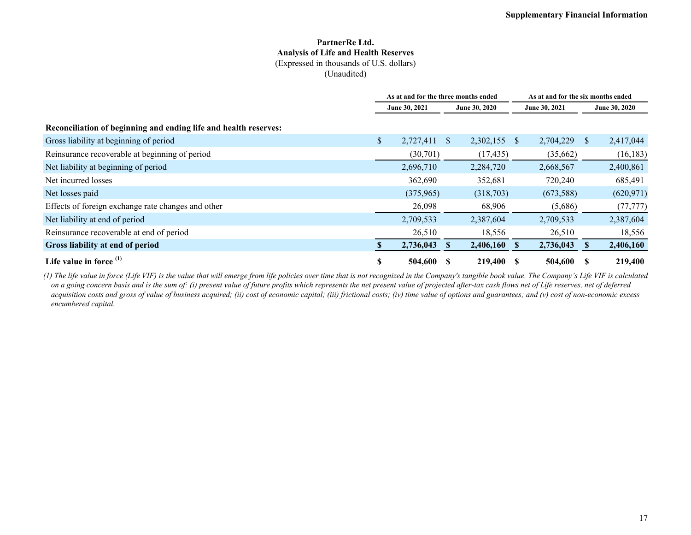#### **PartnerRe Ltd. Analysis of Life and Health Reserves** (Expressed in thousands of U.S. dollars) (Unaudited)

|                                                                  |               | As at and for the three months ended |              | As at and for the six months ended |              |               |               |               |
|------------------------------------------------------------------|---------------|--------------------------------------|--------------|------------------------------------|--------------|---------------|---------------|---------------|
|                                                                  | June 30, 2021 |                                      |              | June 30, 2020                      |              | June 30, 2021 |               | June 30, 2020 |
| Reconciliation of beginning and ending life and health reserves: |               |                                      |              |                                    |              |               |               |               |
| Gross liability at beginning of period                           | \$            | 2,727,411                            | <sup>S</sup> | 2,302,155                          | <sup>S</sup> | 2,704,229     | <sup>\$</sup> | 2,417,044     |
| Reinsurance recoverable at beginning of period                   |               | (30,701)                             |              | (17, 435)                          |              | (35,662)      |               | (16, 183)     |
| Net liability at beginning of period                             |               | 2,696,710                            |              | 2,284,720                          |              | 2,668,567     |               | 2,400,861     |
| Net incurred losses                                              |               | 362,690                              |              | 352,681                            |              | 720,240       |               | 685,491       |
| Net losses paid                                                  |               | (375,965)                            |              | (318,703)                          |              | (673,588)     |               | (620, 971)    |
| Effects of foreign exchange rate changes and other               |               | 26,098                               |              | 68,906                             |              | (5,686)       |               | (77, 777)     |
| Net liability at end of period                                   |               | 2,709,533                            |              | 2,387,604                          |              | 2,709,533     |               | 2,387,604     |
| Reinsurance recoverable at end of period                         |               | 26,510                               |              | 18,556                             |              | 26,510        |               | 18,556        |
| Gross liability at end of period                                 |               | 2,736,043                            |              | 2,406,160                          |              | 2,736,043     |               | 2,406,160     |
| Life value in force $(1)$                                        | S             | 504,600                              |              | 219,400                            | -S           | 504,600       |               | 219,400       |

*(1) The life value in force (Life VIF) is the value that will emerge from life policies over time that is not recognized in the Company's tangible book value. The Company's Life VIF is calculated on a going concern basis and is the sum of: (i) present value of future profits which represents the net present value of projected after-tax cash flows net of Life reserves, net of deferred acquisition costs and gross of value of business acquired; (ii) cost of economic capital; (iii) frictional costs; (iv) time value of options and guarantees; and (v) cost of non-economic excess encumbered capital.*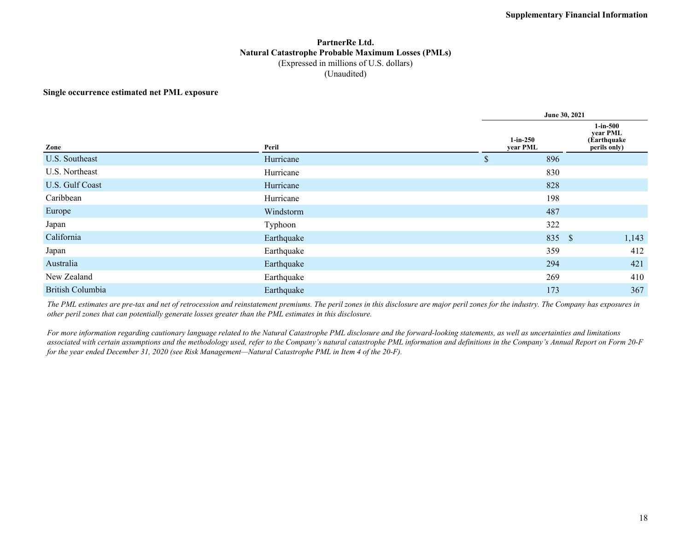### **PartnerRe Ltd. Natural Catastrophe Probable Maximum Losses (PMLs)** (Expressed in millions of U.S. dollars) (Unaudited)

#### **Single occurrence estimated net PML exposure**

| Zone                    | Peril      | $1-in-250$<br>year PML |        | $1$ -in-500<br>year PML<br>(Earthquake)<br>perils only) |
|-------------------------|------------|------------------------|--------|---------------------------------------------------------|
| U.S. Southeast          | Hurricane  | \$                     | 896    |                                                         |
| U.S. Northeast          | Hurricane  |                        | 830    |                                                         |
| U.S. Gulf Coast         | Hurricane  |                        | 828    |                                                         |
| Caribbean               | Hurricane  |                        | 198    |                                                         |
| Europe                  | Windstorm  | 487                    |        |                                                         |
| Japan                   | Typhoon    |                        | 322    |                                                         |
| California              | Earthquake |                        | 835 \$ | 1,143                                                   |
| Japan                   | Earthquake |                        | 359    | 412                                                     |
| Australia               | Earthquake |                        | 294    | 421                                                     |
| New Zealand             | Earthquake |                        | 269    | 410                                                     |
| <b>British Columbia</b> | Earthquake |                        | 173    | 367                                                     |

*The PML estimates are pre-tax and net of retrocession and reinstatement premiums. The peril zones in this disclosure are major peril zones for the industry. The Company has exposures in other peril zones that can potentially generate losses greater than the PML estimates in this disclosure.*

*For more information regarding cautionary language related to the Natural Catastrophe PML disclosure and the forward-looking statements, as well as uncertainties and limitations*  associated with certain assumptions and the methodology used, refer to the Company's natural catastrophe PML information and definitions in the Company's Annual Report on Form 20-F *for the year ended December 31, 2020 (see Risk Management—Natural Catastrophe PML in Item 4 of the 20-F).*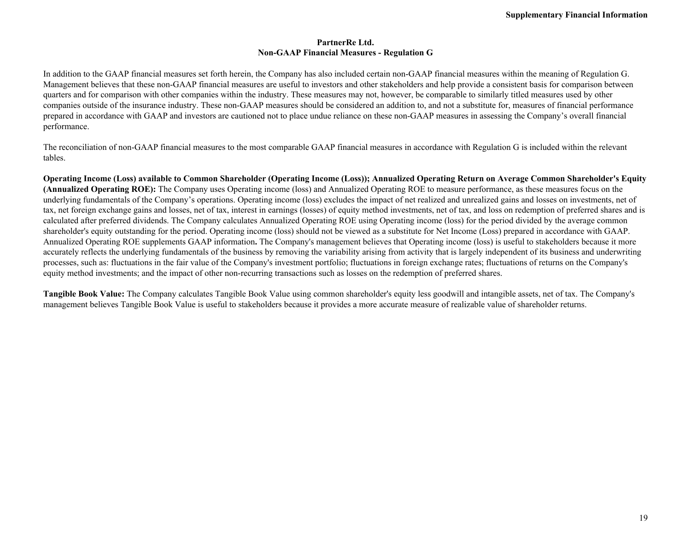#### **PartnerRe Ltd. Non-GAAP Financial Measures - Regulation G**

In addition to the GAAP financial measures set forth herein, the Company has also included certain non-GAAP financial measures within the meaning of Regulation G. Management believes that these non-GAAP financial measures are useful to investors and other stakeholders and help provide a consistent basis for comparison between quarters and for comparison with other companies within the industry. These measures may not, however, be comparable to similarly titled measures used by other companies outside of the insurance industry. These non-GAAP measures should be considered an addition to, and not a substitute for, measures of financial performance prepared in accordance with GAAP and investors are cautioned not to place undue reliance on these non-GAAP measures in assessing the Company's overall financial performance.

The reconciliation of non-GAAP financial measures to the most comparable GAAP financial measures in accordance with Regulation G is included within the relevant tables.

**Operating Income (Loss) available to Common Shareholder (Operating Income (Loss)); Annualized Operating Return on Average Common Shareholder's Equity (Annualized Operating ROE):** The Company uses Operating income (loss) and Annualized Operating ROE to measure performance, as these measures focus on the underlying fundamentals of the Company's operations. Operating income (loss) excludes the impact of net realized and unrealized gains and losses on investments, net of tax, net foreign exchange gains and losses, net of tax, interest in earnings (losses) of equity method investments, net of tax, and loss on redemption of preferred shares and is calculated after preferred dividends. The Company calculates Annualized Operating ROE using Operating income (loss) for the period divided by the average common shareholder's equity outstanding for the period. Operating income (loss) should not be viewed as a substitute for Net Income (Loss) prepared in accordance with GAAP. Annualized Operating ROE supplements GAAP information**.** The Company's management believes that Operating income (loss) is useful to stakeholders because it more accurately reflects the underlying fundamentals of the business by removing the variability arising from activity that is largely independent of its business and underwriting processes, such as: fluctuations in the fair value of the Company's investment portfolio; fluctuations in foreign exchange rates; fluctuations of returns on the Company's equity method investments; and the impact of other non-recurring transactions such as losses on the redemption of preferred shares.

**Tangible Book Value:** The Company calculates Tangible Book Value using common shareholder's equity less goodwill and intangible assets, net of tax. The Company's management believes Tangible Book Value is useful to stakeholders because it provides a more accurate measure of realizable value of shareholder returns.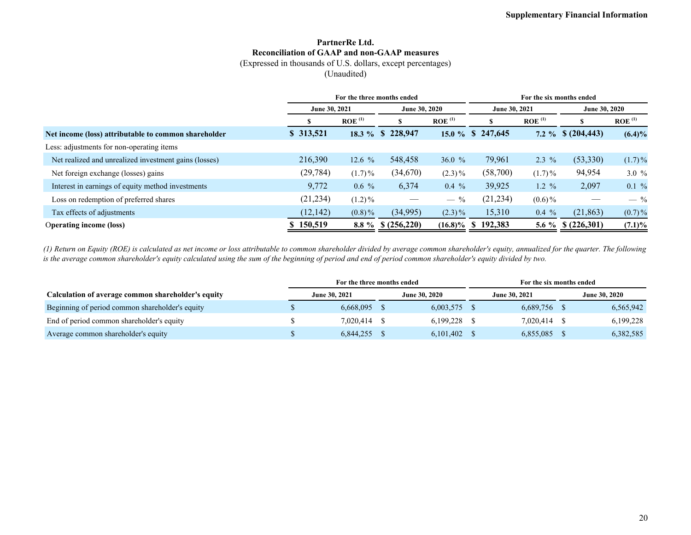## **PartnerRe Ltd. Reconciliation of GAAP and non-GAAP measures**

(Expressed in thousands of U.S. dollars, except percentages)

(Unaudited)

|                                                       | For the three months ended |                      |                      |                      | For the six months ended |                      |               |                      |  |  |
|-------------------------------------------------------|----------------------------|----------------------|----------------------|----------------------|--------------------------|----------------------|---------------|----------------------|--|--|
|                                                       | June 30, 2021              |                      | June 30, 2020        |                      | June 30, 2021            |                      | June 30, 2020 |                      |  |  |
|                                                       |                            | $ROE$ <sup>(1)</sup> | - 79                 | $ROE$ <sup>(1)</sup> |                          | $ROE$ <sup>(1)</sup> |               | $ROE$ <sup>(1)</sup> |  |  |
| Net income (loss) attributable to common shareholder  | \$ 313,521                 |                      | 18.3 % \$ 228,947    |                      | 15.0 % \$ 247,645        | $7.2 \%$             | \$(204, 443)  | $(6.4)\%$            |  |  |
| Less: adjustments for non-operating items             |                            |                      |                      |                      |                          |                      |               |                      |  |  |
| Net realized and unrealized investment gains (losses) | 216,390                    | 12.6 $%$             | 548,458              | 36.0 $%$             | 79,961                   | $2.3\%$              | (53,330)      | $(1.7)\%$            |  |  |
| Net foreign exchange (losses) gains                   | (29, 784)                  | $(1.7)\%$            | (34,670)             | $(2.3)\%$            | (58,700)                 | $(1.7)\%$            | 94,954        | 3.0%                 |  |  |
| Interest in earnings of equity method investments     | 9,772                      | $0.6\%$              | 6,374                | $0.4\%$              | 39,925                   | $1.2 \%$             | 2,097         | $0.1 \%$             |  |  |
| Loss on redemption of preferred shares                | (21, 234)                  | $(1.2)\%$            |                      | $-$ %                | (21, 234)                | $(0.6)\%$            |               | $-$ %                |  |  |
| Tax effects of adjustments                            | (12, 142)                  | $(0.8)\%$            | (34,995)             | $(2.3)\%$            | 15,310                   | $0.4\%$              | (21, 863)     | $(0.7)\%$            |  |  |
| <b>Operating income (loss)</b>                        | \$150,519                  |                      | $8.8\%$ \$ (256,220) | $(16.8)\%$ \$        | 192,383                  | 5.6 $\%$             | \$(226,301)   | $(7.1)\%$            |  |  |

*(1) Return on Equity (ROE) is calculated as net income or loss attributable to common shareholder divided by average common shareholder's equity, annualized for the quarter. The following is the average common shareholder's equity calculated using the sum of the beginning of period and end of period common shareholder's equity divided by two.*

|                                                    | For the three months ended |           |                      |           | For the six months ended |              |                      |           |
|----------------------------------------------------|----------------------------|-----------|----------------------|-----------|--------------------------|--------------|----------------------|-----------|
| Calculation of average common shareholder's equity | <b>June 30, 2021</b>       |           | <b>June 30, 2020</b> |           | <b>June 30, 2021</b>     |              | <b>June 30, 2020</b> |           |
| Beginning of period common shareholder's equity    |                            | 6.668.095 |                      | 6,003,575 |                          | 6,689,756 \$ |                      | 6,565,942 |
| End of period common shareholder's equity          |                            | 7.020.414 |                      | 6,199,228 |                          | 7,020,414    |                      | 6,199,228 |
| Average common shareholder's equity                |                            | 6,844,255 |                      | 6,101,402 |                          | 6,855,085    |                      | 6,382,585 |